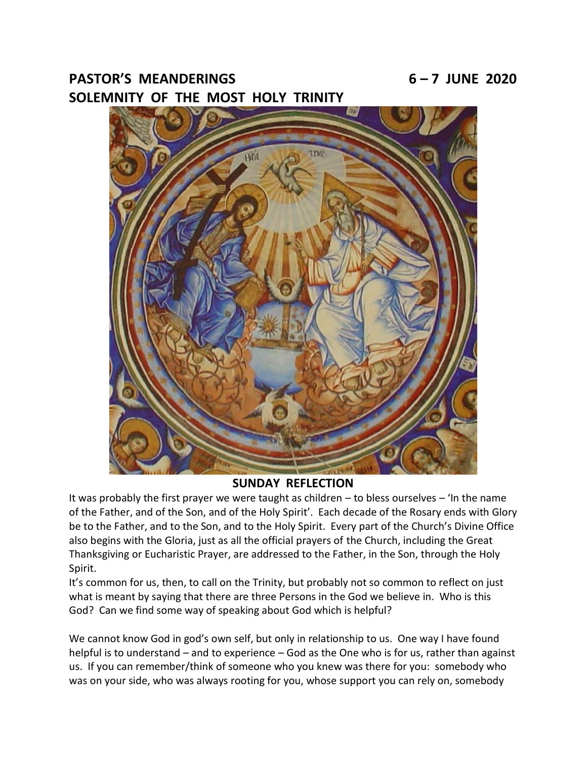# **PASTOR'S MEANDERINGS 6 – 7 JUNE 2020 SOLEMNITY OF THE MOST HOLY TRINITY**



## **SUNDAY REFLECTION**

It was probably the first prayer we were taught as children – to bless ourselves – 'In the name of the Father, and of the Son, and of the Holy Spirit'. Each decade of the Rosary ends with Glory be to the Father, and to the Son, and to the Holy Spirit. Every part of the Church's Divine Office also begins with the Gloria, just as all the official prayers of the Church, including the Great Thanksgiving or Eucharistic Prayer, are addressed to the Father, in the Son, through the Holy Spirit.

It's common for us, then, to call on the Trinity, but probably not so common to reflect on just what is meant by saying that there are three Persons in the God we believe in. Who is this God? Can we find some way of speaking about God which is helpful?

We cannot know God in god's own self, but only in relationship to us. One way I have found helpful is to understand – and to experience – God as the One who is for us, rather than against us. If you can remember/think of someone who you knew was there for you: somebody who was on your side, who was always rooting for you, whose support you can rely on, somebody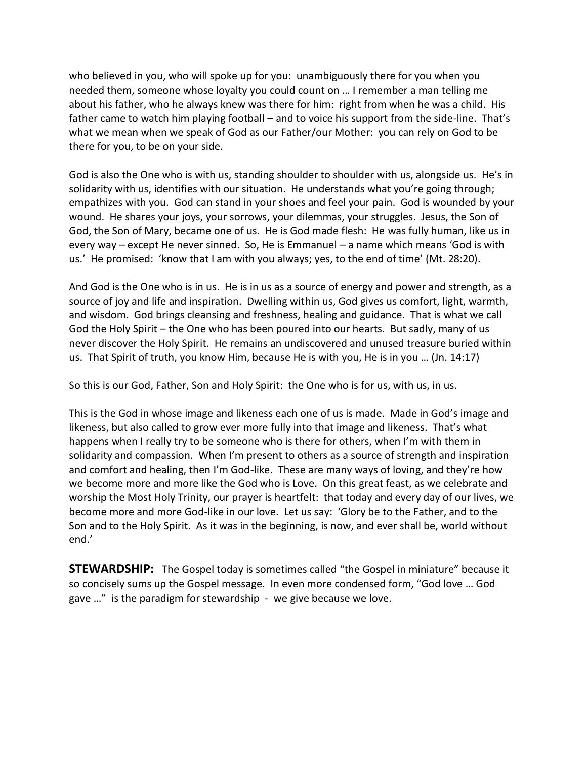who believed in you, who will spoke up for you: unambiguously there for you when you needed them, someone whose loyalty you could count on … I remember a man telling me about his father, who he always knew was there for him: right from when he was a child. His father came to watch him playing football – and to voice his support from the side-line. That's what we mean when we speak of God as our Father/our Mother: you can rely on God to be there for you, to be on your side.

God is also the One who is with us, standing shoulder to shoulder with us, alongside us. He's in solidarity with us, identifies with our situation. He understands what you're going through; empathizes with you. God can stand in your shoes and feel your pain. God is wounded by your wound. He shares your joys, your sorrows, your dilemmas, your struggles. Jesus, the Son of God, the Son of Mary, became one of us. He is God made flesh: He was fully human, like us in every way – except He never sinned. So, He is Emmanuel – a name which means 'God is with us.' He promised: 'know that I am with you always; yes, to the end of time' (Mt. 28:20).

And God is the One who is in us. He is in us as a source of energy and power and strength, as a source of joy and life and inspiration. Dwelling within us, God gives us comfort, light, warmth, and wisdom. God brings cleansing and freshness, healing and guidance. That is what we call God the Holy Spirit – the One who has been poured into our hearts. But sadly, many of us never discover the Holy Spirit. He remains an undiscovered and unused treasure buried within us. That Spirit of truth, you know Him, because He is with you, He is in you … (Jn. 14:17)

So this is our God, Father, Son and Holy Spirit: the One who is for us, with us, in us.

This is the God in whose image and likeness each one of us is made. Made in God's image and likeness, but also called to grow ever more fully into that image and likeness. That's what happens when I really try to be someone who is there for others, when I'm with them in solidarity and compassion. When I'm present to others as a source of strength and inspiration and comfort and healing, then I'm God-like. These are many ways of loving, and they're how we become more and more like the God who is Love. On this great feast, as we celebrate and worship the Most Holy Trinity, our prayer is heartfelt: that today and every day of our lives, we become more and more God-like in our love. Let us say: 'Glory be to the Father, and to the Son and to the Holy Spirit. As it was in the beginning, is now, and ever shall be, world without end.'

**STEWARDSHIP:** The Gospel today is sometimes called "the Gospel in miniature" because it so concisely sums up the Gospel message. In even more condensed form, "God love … God gave …" is the paradigm for stewardship - we give because we love.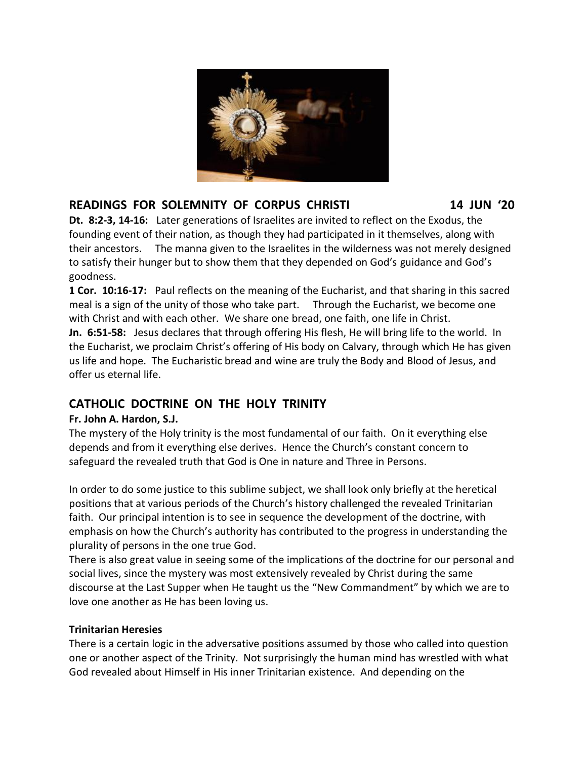

# **READINGS FOR SOLEMNITY OF CORPUS CHRISTI 14 JUN '20**

**Dt. 8:2-3, 14-16:** Later generations of Israelites are invited to reflect on the Exodus, the founding event of their nation, as though they had participated in it themselves, along with their ancestors. The manna given to the Israelites in the wilderness was not merely designed to satisfy their hunger but to show them that they depended on God's guidance and God's goodness.

**1 Cor. 10:16-17:** Paul reflects on the meaning of the Eucharist, and that sharing in this sacred meal is a sign of the unity of those who take part. Through the Eucharist, we become one with Christ and with each other. We share one bread, one faith, one life in Christ. **Jn. 6:51-58:** Jesus declares that through offering His flesh, He will bring life to the world. In the Eucharist, we proclaim Christ's offering of His body on Calvary, through which He has given

us life and hope. The Eucharistic bread and wine are truly the Body and Blood of Jesus, and offer us eternal life.

# **CATHOLIC DOCTRINE ON THE HOLY TRINITY**

## **Fr. John A. Hardon, S.J.**

The mystery of the Holy trinity is the most fundamental of our faith. On it everything else depends and from it everything else derives. Hence the Church's constant concern to safeguard the revealed truth that God is One in nature and Three in Persons.

In order to do some justice to this sublime subject, we shall look only briefly at the heretical positions that at various periods of the Church's history challenged the revealed Trinitarian faith. Our principal intention is to see in sequence the development of the doctrine, with emphasis on how the Church's authority has contributed to the progress in understanding the plurality of persons in the one true God.

There is also great value in seeing some of the implications of the doctrine for our personal and social lives, since the mystery was most extensively revealed by Christ during the same discourse at the Last Supper when He taught us the "New Commandment" by which we are to love one another as He has been loving us.

## **Trinitarian Heresies**

There is a certain logic in the adversative positions assumed by those who called into question one or another aspect of the Trinity. Not surprisingly the human mind has wrestled with what God revealed about Himself in His inner Trinitarian existence. And depending on the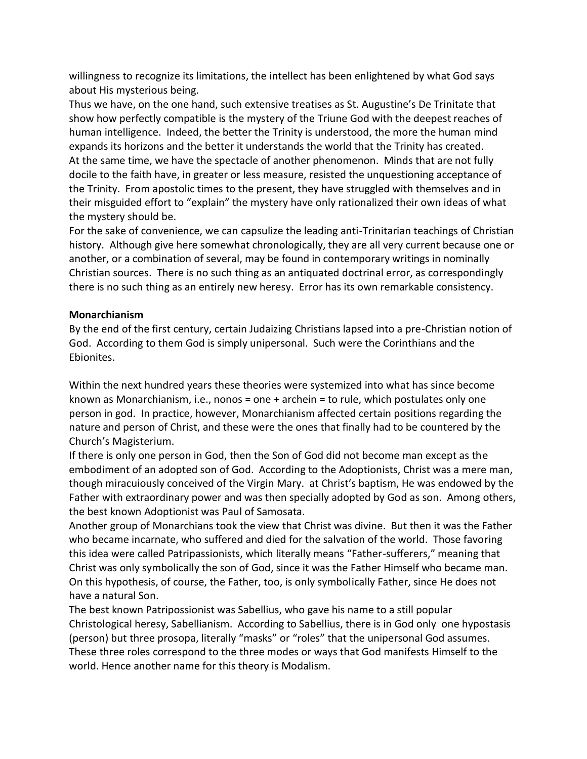willingness to recognize its limitations, the intellect has been enlightened by what God says about His mysterious being.

Thus we have, on the one hand, such extensive treatises as St. Augustine's De Trinitate that show how perfectly compatible is the mystery of the Triune God with the deepest reaches of human intelligence. Indeed, the better the Trinity is understood, the more the human mind expands its horizons and the better it understands the world that the Trinity has created. At the same time, we have the spectacle of another phenomenon. Minds that are not fully docile to the faith have, in greater or less measure, resisted the unquestioning acceptance of the Trinity. From apostolic times to the present, they have struggled with themselves and in their misguided effort to "explain" the mystery have only rationalized their own ideas of what the mystery should be.

For the sake of convenience, we can capsulize the leading anti-Trinitarian teachings of Christian history. Although give here somewhat chronologically, they are all very current because one or another, or a combination of several, may be found in contemporary writings in nominally Christian sources. There is no such thing as an antiquated doctrinal error, as correspondingly there is no such thing as an entirely new heresy. Error has its own remarkable consistency.

## **Monarchianism**

By the end of the first century, certain Judaizing Christians lapsed into a pre-Christian notion of God. According to them God is simply unipersonal. Such were the Corinthians and the Ebionites.

Within the next hundred years these theories were systemized into what has since become known as Monarchianism, i.e., nonos = one + archein = to rule, which postulates only one person in god. In practice, however, Monarchianism affected certain positions regarding the nature and person of Christ, and these were the ones that finally had to be countered by the Church's Magisterium.

If there is only one person in God, then the Son of God did not become man except as the embodiment of an adopted son of God. According to the Adoptionists, Christ was a mere man, though miracuiously conceived of the Virgin Mary. at Christ's baptism, He was endowed by the Father with extraordinary power and was then specially adopted by God as son. Among others, the best known Adoptionist was Paul of Samosata.

Another group of Monarchians took the view that Christ was divine. But then it was the Father who became incarnate, who suffered and died for the salvation of the world. Those favoring this idea were called Patripassionists, which literally means "Father-sufferers," meaning that Christ was only symbolically the son of God, since it was the Father Himself who became man. On this hypothesis, of course, the Father, too, is only symbolically Father, since He does not have a natural Son.

The best known Patripossionist was Sabellius, who gave his name to a still popular Christological heresy, Sabellianism. According to Sabellius, there is in God only one hypostasis (person) but three prosopa, literally "masks" or "roles" that the unipersonal God assumes. These three roles correspond to the three modes or ways that God manifests Himself to the world. Hence another name for this theory is Modalism.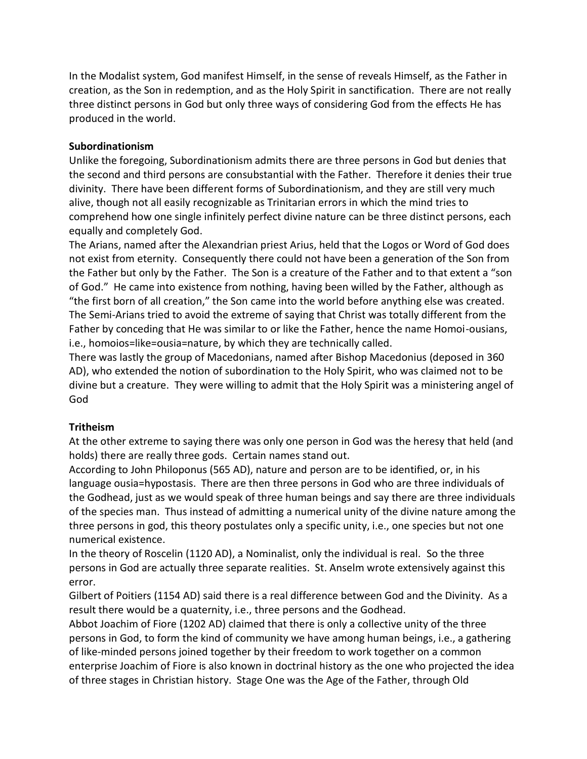In the Modalist system, God manifest Himself, in the sense of reveals Himself, as the Father in creation, as the Son in redemption, and as the Holy Spirit in sanctification. There are not really three distinct persons in God but only three ways of considering God from the effects He has produced in the world.

### **Subordinationism**

Unlike the foregoing, Subordinationism admits there are three persons in God but denies that the second and third persons are consubstantial with the Father. Therefore it denies their true divinity. There have been different forms of Subordinationism, and they are still very much alive, though not all easily recognizable as Trinitarian errors in which the mind tries to comprehend how one single infinitely perfect divine nature can be three distinct persons, each equally and completely God.

The Arians, named after the Alexandrian priest Arius, held that the Logos or Word of God does not exist from eternity. Consequently there could not have been a generation of the Son from the Father but only by the Father. The Son is a creature of the Father and to that extent a "son of God." He came into existence from nothing, having been willed by the Father, although as "the first born of all creation," the Son came into the world before anything else was created. The Semi-Arians tried to avoid the extreme of saying that Christ was totally different from the Father by conceding that He was similar to or like the Father, hence the name Homoi-ousians, i.e., homoios=like=ousia=nature, by which they are technically called.

There was lastly the group of Macedonians, named after Bishop Macedonius (deposed in 360 AD), who extended the notion of subordination to the Holy Spirit, who was claimed not to be divine but a creature. They were willing to admit that the Holy Spirit was a ministering angel of God

### **Tritheism**

At the other extreme to saying there was only one person in God was the heresy that held (and holds) there are really three gods. Certain names stand out.

According to John Philoponus (565 AD), nature and person are to be identified, or, in his language ousia=hypostasis. There are then three persons in God who are three individuals of the Godhead, just as we would speak of three human beings and say there are three individuals of the species man. Thus instead of admitting a numerical unity of the divine nature among the three persons in god, this theory postulates only a specific unity, i.e., one species but not one numerical existence.

In the theory of Roscelin (1120 AD), a Nominalist, only the individual is real. So the three persons in God are actually three separate realities. St. Anselm wrote extensively against this error.

Gilbert of Poitiers (1154 AD) said there is a real difference between God and the Divinity. As a result there would be a quaternity, i.e., three persons and the Godhead.

Abbot Joachim of Fiore (1202 AD) claimed that there is only a collective unity of the three persons in God, to form the kind of community we have among human beings, i.e., a gathering of like-minded persons joined together by their freedom to work together on a common enterprise Joachim of Fiore is also known in doctrinal history as the one who projected the idea of three stages in Christian history. Stage One was the Age of the Father, through Old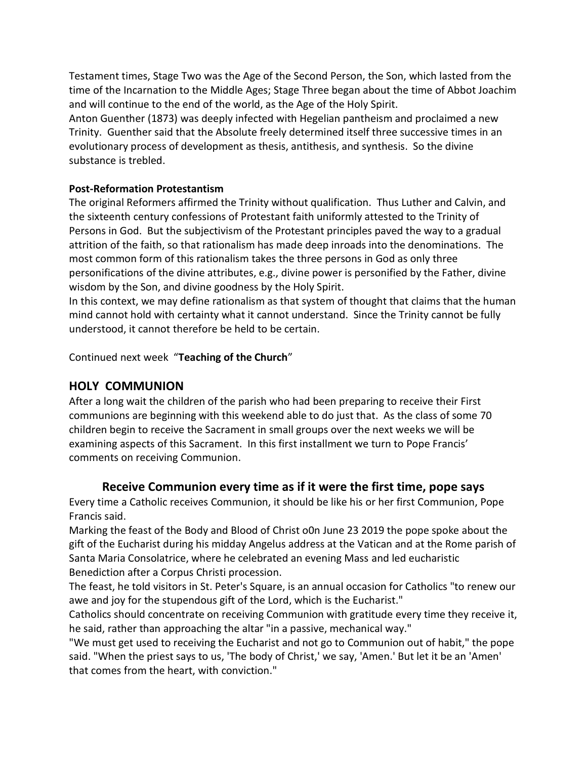Testament times, Stage Two was the Age of the Second Person, the Son, which lasted from the time of the Incarnation to the Middle Ages; Stage Three began about the time of Abbot Joachim and will continue to the end of the world, as the Age of the Holy Spirit.

Anton Guenther (1873) was deeply infected with Hegelian pantheism and proclaimed a new Trinity. Guenther said that the Absolute freely determined itself three successive times in an evolutionary process of development as thesis, antithesis, and synthesis. So the divine substance is trebled.

## **Post-Reformation Protestantism**

The original Reformers affirmed the Trinity without qualification. Thus Luther and Calvin, and the sixteenth century confessions of Protestant faith uniformly attested to the Trinity of Persons in God. But the subjectivism of the Protestant principles paved the way to a gradual attrition of the faith, so that rationalism has made deep inroads into the denominations. The most common form of this rationalism takes the three persons in God as only three personifications of the divine attributes, e.g., divine power is personified by the Father, divine wisdom by the Son, and divine goodness by the Holy Spirit.

In this context, we may define rationalism as that system of thought that claims that the human mind cannot hold with certainty what it cannot understand. Since the Trinity cannot be fully understood, it cannot therefore be held to be certain.

Continued next week "**Teaching of the Church**"

# **HOLY COMMUNION**

After a long wait the children of the parish who had been preparing to receive their First communions are beginning with this weekend able to do just that. As the class of some 70 children begin to receive the Sacrament in small groups over the next weeks we will be examining aspects of this Sacrament. In this first installment we turn to Pope Francis' comments on receiving Communion.

## **Receive Communion every time as if it were the first time, pope says**

Every time a Catholic receives Communion, it should be like his or her first Communion, Pope Francis said.

Marking the feast of the Body and Blood of Christ o0n June 23 2019 the pope spoke about the gift of the Eucharist during his midday Angelus address at the Vatican and at the Rome parish of Santa Maria Consolatrice, where he celebrated an evening Mass and led eucharistic Benediction after a Corpus Christi procession.

The feast, he told visitors in St. Peter's Square, is an annual occasion for Catholics "to renew our awe and joy for the stupendous gift of the Lord, which is the Eucharist."

Catholics should concentrate on receiving Communion with gratitude every time they receive it, he said, rather than approaching the altar "in a passive, mechanical way."

"We must get used to receiving the Eucharist and not go to Communion out of habit," the pope said. "When the priest says to us, 'The body of Christ,' we say, 'Amen.' But let it be an 'Amen' that comes from the heart, with conviction."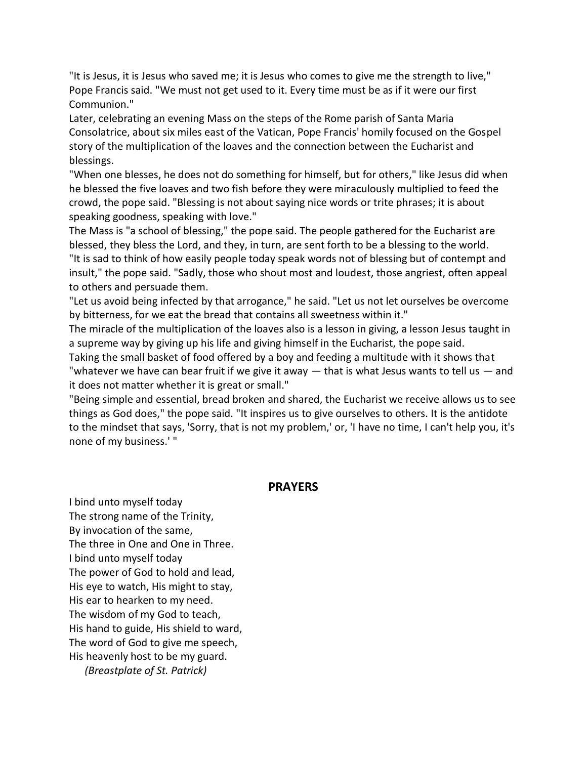"It is Jesus, it is Jesus who saved me; it is Jesus who comes to give me the strength to live," Pope Francis said. "We must not get used to it. Every time must be as if it were our first Communion."

Later, celebrating an evening Mass on the steps of the Rome parish of Santa Maria Consolatrice, about six miles east of the Vatican, Pope Francis' homily focused on the Gospel story of the multiplication of the loaves and the connection between the Eucharist and blessings.

"When one blesses, he does not do something for himself, but for others," like Jesus did when he blessed the five loaves and two fish before they were miraculously multiplied to feed the crowd, the pope said. "Blessing is not about saying nice words or trite phrases; it is about speaking goodness, speaking with love."

The Mass is "a school of blessing," the pope said. The people gathered for the Eucharist are blessed, they bless the Lord, and they, in turn, are sent forth to be a blessing to the world. "It is sad to think of how easily people today speak words not of blessing but of contempt and insult," the pope said. "Sadly, those who shout most and loudest, those angriest, often appeal to others and persuade them.

"Let us avoid being infected by that arrogance," he said. "Let us not let ourselves be overcome by bitterness, for we eat the bread that contains all sweetness within it."

The miracle of the multiplication of the loaves also is a lesson in giving, a lesson Jesus taught in a supreme way by giving up his life and giving himself in the Eucharist, the pope said.

Taking the small basket of food offered by a boy and feeding a multitude with it shows that "whatever we have can bear fruit if we give it away  $-$  that is what Jesus wants to tell us  $-$  and it does not matter whether it is great or small."

"Being simple and essential, bread broken and shared, the Eucharist we receive allows us to see things as God does," the pope said. "It inspires us to give ourselves to others. It is the antidote to the mindset that says, 'Sorry, that is not my problem,' or, 'I have no time, I can't help you, it's none of my business.' "

### **PRAYERS**

I bind unto myself today The strong name of the Trinity, By invocation of the same, The three in One and One in Three. I bind unto myself today The power of God to hold and lead, His eye to watch, His might to stay, His ear to hearken to my need. The wisdom of my God to teach, His hand to guide, His shield to ward, The word of God to give me speech, His heavenly host to be my guard. *(Breastplate of St. Patrick)*